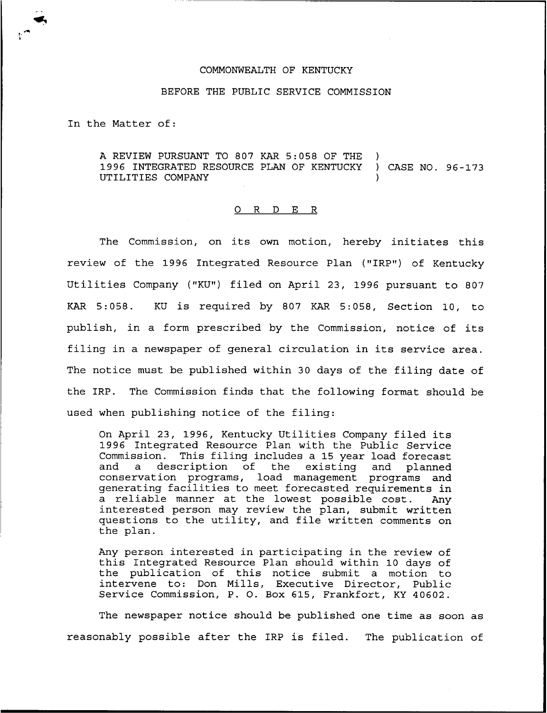## COMMONWEALTH OF KENTUCKY

## BEFORE THE PUBLIC SERVICE COMMISSION

In the Matter of:

A REVIEW PURSUANT TO 807 KAR 5:058 OF THE )<br>1996 INTEGRATED RESOURCE PLAN OF KENTUCKY ) CASE NO. 96-173 1996 INTEGRATED RESOURCE PLAN OF KENTUCKY UTILITIES COMPANY

## 0 R <sup>D</sup> E R

The Commission, on its own motion, hereby initiates this review of the 1996 Integrated Resource Plan ("IRP") of Kentucky Utilities Company ("KU") filed on April 23, 1996 pursuant to 807 KAR 5:058. KU is required by 807 KAR 5:058, Section 10, to publish, in <sup>a</sup> form prescribed by the Commission, notice of its filing in a newspaper of general circulation in its service area. The notice must be published within 30 days of the filing date of the IRP. The Commission finds that the following format should be used when publishing notice of the filing:

On April 23, 1996, Kentucky Utilities Company filed its 1996 Integrated Resource Plan with the Public Service Commission. This filing includes a 15 year load forecast<br>and a description of the existing and planned description of the existing conservation programs, load management programs and generating facilities to meet forecasted requirements in<br>a reliable manner at the lowest possible cost. Any <sup>a</sup> reliable manner at the lowest possible cost. Any interested person may review the plan, submit written questions to the utility, and file written comments on the plan.

Any person interested in participating in the review of this Integrated Resource Plan should within <sup>10</sup> days of the publication of this notice submit a motion to intervene to: Don Mills, Executive Director, Public Service Commission, P. O. Box 615, Frankfort, KY 40602.

The newspaper notice should be published one time as soon as reasonably possible after the IRP is filed. The publication of